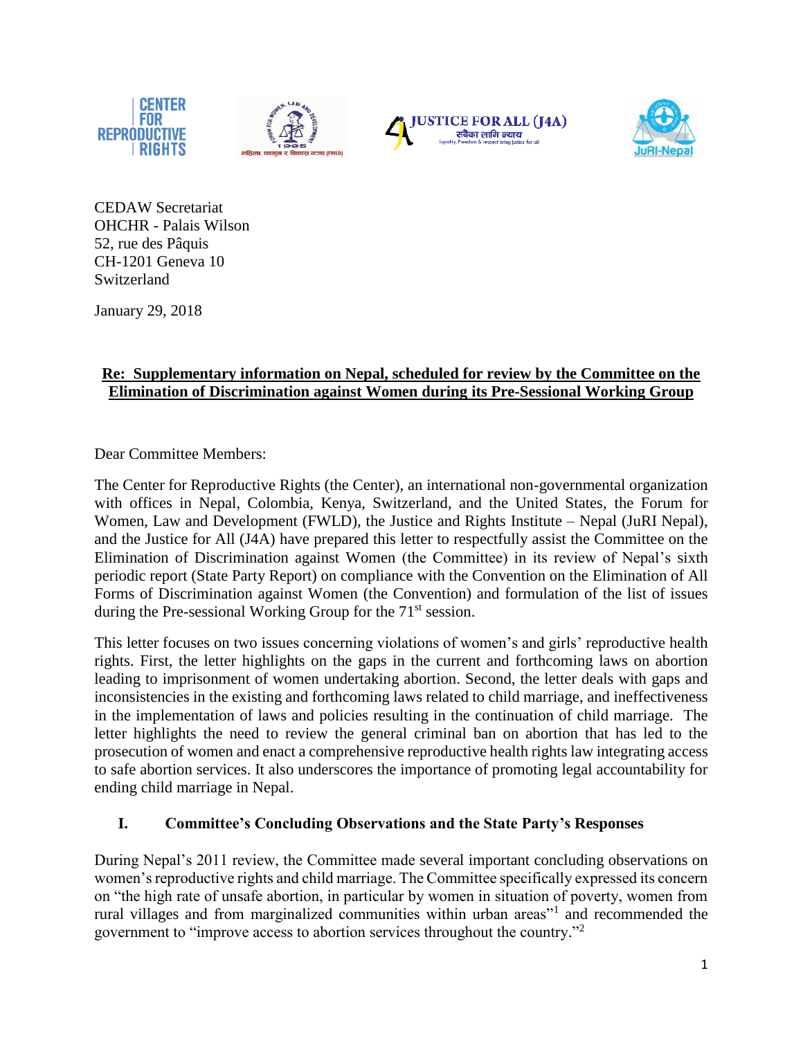





CEDAW Secretariat OHCHR - Palais Wilson 52, rue des Pâquis CH-1201 Geneva 10 Switzerland

January 29, 2018

# **Re: Supplementary information on Nepal, scheduled for review by the Committee on the Elimination of Discrimination against Women during its Pre-Sessional Working Group**

Dear Committee Members:

The Center for Reproductive Rights (the Center), an international non-governmental organization with offices in Nepal, Colombia, Kenya, Switzerland, and the United States, the Forum for Women, Law and Development (FWLD), the Justice and Rights Institute – Nepal (JuRI Nepal), and the Justice for All (J4A) have prepared this letter to respectfully assist the Committee on the Elimination of Discrimination against Women (the Committee) in its review of Nepal's sixth periodic report (State Party Report) on compliance with the Convention on the Elimination of All Forms of Discrimination against Women (the Convention) and formulation of the list of issues during the Pre-sessional Working Group for the 71<sup>st</sup> session.

This letter focuses on two issues concerning violations of women's and girls' reproductive health rights. First, the letter highlights on the gaps in the current and forthcoming laws on abortion leading to imprisonment of women undertaking abortion. Second, the letter deals with gaps and inconsistencies in the existing and forthcoming laws related to child marriage, and ineffectiveness in the implementation of laws and policies resulting in the continuation of child marriage. The letter highlights the need to review the general criminal ban on abortion that has led to the prosecution of women and enact a comprehensive reproductive health rights law integrating access to safe abortion services. It also underscores the importance of promoting legal accountability for ending child marriage in Nepal.

## **I. Committee's Concluding Observations and the State Party's Responses**

During Nepal's 2011 review, the Committee made several important concluding observations on women's reproductive rights and child marriage. The Committee specifically expressed its concern on "the high rate of unsafe abortion, in particular by women in situation of poverty, women from rural villages and from marginalized communities within urban areas"<sup>1</sup> and recommended the government to "improve access to abortion services throughout the country." 2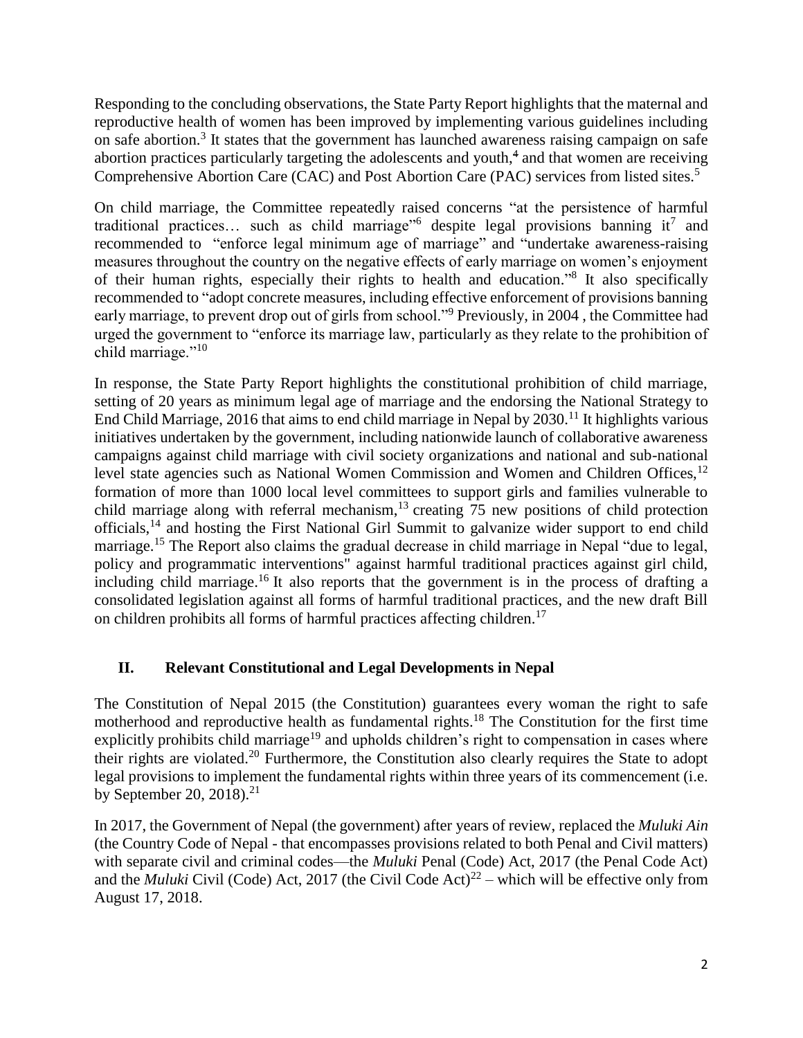Responding to the concluding observations, the State Party Report highlights that the maternal and reproductive health of women has been improved by implementing various guidelines including on safe abortion.<sup>3</sup> It states that the government has launched awareness raising campaign on safe abortion practices particularly targeting the adolescents and youth,<sup>4</sup> and that women are receiving Comprehensive Abortion Care (CAC) and Post Abortion Care (PAC) services from listed sites.<sup>5</sup>

On child marriage, the Committee repeatedly raised concerns "at the persistence of harmful traditional practices... such as child marriage<sup> $n<sub>6</sub>$ </sup> despite legal provisions banning it<sup>7</sup> and recommended to "enforce legal minimum age of marriage" and "undertake awareness-raising measures throughout the country on the negative effects of early marriage on women's enjoyment of their human rights, especially their rights to health and education." 8 It also specifically recommended to "adopt concrete measures, including effective enforcement of provisions banning early marriage, to prevent drop out of girls from school."<sup>9</sup> Previously, in 2004, the Committee had urged the government to "enforce its marriage law, particularly as they relate to the prohibition of child marriage."<sup>10</sup>

In response, the State Party Report highlights the constitutional prohibition of child marriage, setting of 20 years as minimum legal age of marriage and the endorsing the National Strategy to End Child Marriage, 2016 that aims to end child marriage in Nepal by  $2030$ .<sup>11</sup> It highlights various initiatives undertaken by the government, including nationwide launch of collaborative awareness campaigns against child marriage with civil society organizations and national and sub-national level state agencies such as National Women Commission and Women and Children Offices,<sup>12</sup> formation of more than 1000 local level committees to support girls and families vulnerable to child marriage along with referral mechanism,<sup>13</sup> creating  $\overline{75}$  new positions of child protection officials,<sup>14</sup> and hosting the First National Girl Summit to galvanize wider support to end child marriage.<sup>15</sup> The Report also claims the gradual decrease in child marriage in Nepal "due to legal, policy and programmatic interventions" against harmful traditional practices against girl child, including child marriage.<sup>16</sup> It also reports that the government is in the process of drafting a consolidated legislation against all forms of harmful traditional practices, and the new draft Bill on children prohibits all forms of harmful practices affecting children.<sup>17</sup>

## **II. Relevant Constitutional and Legal Developments in Nepal**

The Constitution of Nepal 2015 (the Constitution) guarantees every woman the right to safe motherhood and reproductive health as fundamental rights.<sup>18</sup> The Constitution for the first time explicitly prohibits child marriage<sup>19</sup> and upholds children's right to compensation in cases where their rights are violated.<sup>20</sup> Furthermore, the Constitution also clearly requires the State to adopt legal provisions to implement the fundamental rights within three years of its commencement (i.e. by September 20, 2018).<sup>21</sup>

In 2017, the Government of Nepal (the government) after years of review, replaced the *Muluki Ain* (the Country Code of Nepal - that encompasses provisions related to both Penal and Civil matters) with separate civil and criminal codes—the *Muluki* Penal (Code) Act, 2017 (the Penal Code Act) and the *Muluki* Civil (Code) Act, 2017 (the Civil Code Act)<sup>22</sup> – which will be effective only from August 17, 2018.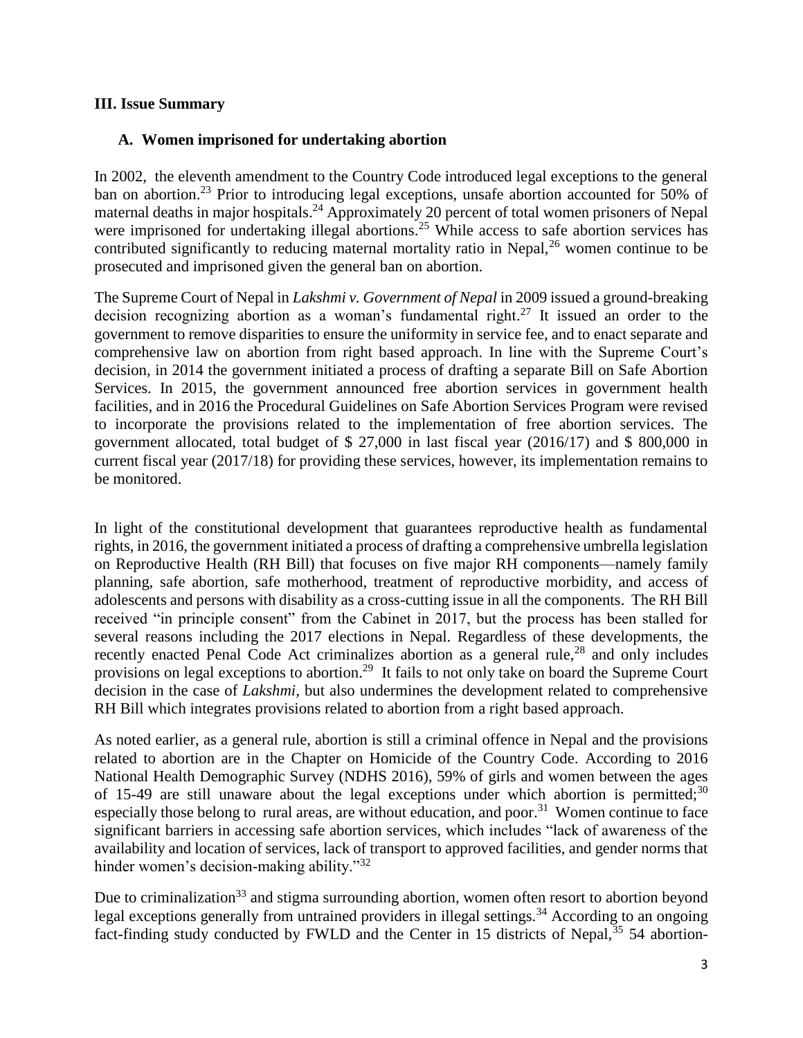#### **III. Issue Summary**

### **A. Women imprisoned for undertaking abortion**

In 2002, the eleventh amendment to the Country Code introduced legal exceptions to the general ban on abortion.<sup>23</sup> Prior to introducing legal exceptions, unsafe abortion accounted for 50% of maternal deaths in major hospitals.<sup>24</sup> Approximately 20 percent of total women prisoners of Nepal were imprisoned for undertaking illegal abortions.<sup>25</sup> While access to safe abortion services has contributed significantly to reducing maternal mortality ratio in Nepal,  $^{26}$  women continue to be prosecuted and imprisoned given the general ban on abortion.

The Supreme Court of Nepal in *Lakshmi v. Government of Nepal* in 2009 issued a ground-breaking decision recognizing abortion as a woman's fundamental right. <sup>27</sup> It issued an order to the government to remove disparities to ensure the uniformity in service fee, and to enact separate and comprehensive law on abortion from right based approach. In line with the Supreme Court's decision, in 2014 the government initiated a process of drafting a separate Bill on Safe Abortion Services. In 2015, the government announced free abortion services in government health facilities, and in 2016 the Procedural Guidelines on Safe Abortion Services Program were revised to incorporate the provisions related to the implementation of free abortion services. The government allocated, total budget of \$ 27,000 in last fiscal year (2016/17) and \$ 800,000 in current fiscal year (2017/18) for providing these services, however, its implementation remains to be monitored.

In light of the constitutional development that guarantees reproductive health as fundamental rights, in 2016, the government initiated a process of drafting a comprehensive umbrella legislation on Reproductive Health (RH Bill) that focuses on five major RH components—namely family planning, safe abortion, safe motherhood, treatment of reproductive morbidity, and access of adolescents and persons with disability as a cross-cutting issue in all the components. The RH Bill received "in principle consent" from the Cabinet in 2017, but the process has been stalled for several reasons including the 2017 elections in Nepal. Regardless of these developments, the recently enacted Penal Code Act criminalizes abortion as a general rule,<sup>28</sup> and only includes provisions on legal exceptions to abortion.<sup>29</sup> It fails to not only take on board the Supreme Court decision in the case of *Lakshmi,* but also undermines the development related to comprehensive RH Bill which integrates provisions related to abortion from a right based approach.

As noted earlier, as a general rule, abortion is still a criminal offence in Nepal and the provisions related to abortion are in the Chapter on Homicide of the Country Code. According to 2016 National Health Demographic Survey (NDHS 2016), 59% of girls and women between the ages of 15-49 are still unaware about the legal exceptions under which abortion is permitted;<sup>30</sup> especially those belong to rural areas, are without education, and poor.<sup>31</sup> Women continue to face significant barriers in accessing safe abortion services, which includes "lack of awareness of the availability and location of services, lack of transport to approved facilities, and gender norms that hinder women's decision-making ability."<sup>32</sup>

Due to criminalization<sup>33</sup> and stigma surrounding abortion, women often resort to abortion beyond legal exceptions generally from untrained providers in illegal settings.<sup>34</sup> According to an ongoing fact-finding study conducted by FWLD and the Center in 15 districts of Nepal,  $35\frac{1}{3}$  54 abortion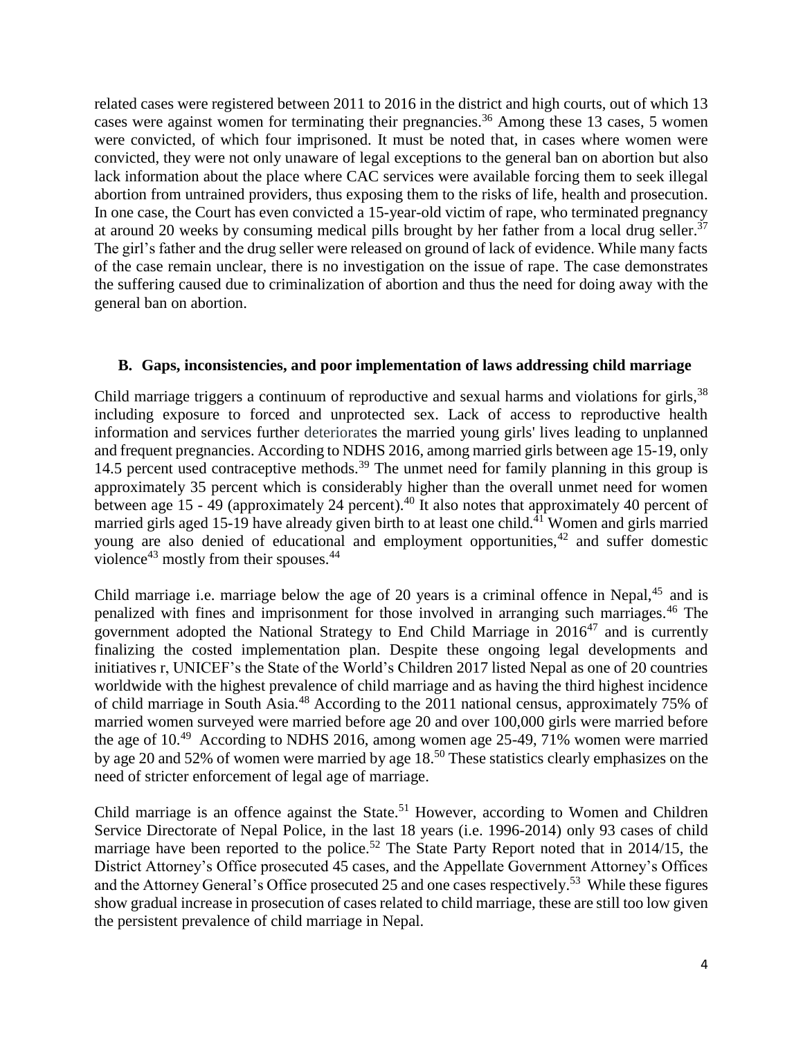related cases were registered between 2011 to 2016 in the district and high courts, out of which 13 cases were against women for terminating their pregnancies.<sup>36</sup> Among these 13 cases, 5 women were convicted, of which four imprisoned. It must be noted that, in cases where women were convicted, they were not only unaware of legal exceptions to the general ban on abortion but also lack information about the place where CAC services were available forcing them to seek illegal abortion from untrained providers, thus exposing them to the risks of life, health and prosecution. In one case, the Court has even convicted a 15-year-old victim of rape, who terminated pregnancy at around 20 weeks by consuming medical pills brought by her father from a local drug seller.<sup>37</sup> The girl's father and the drug seller were released on ground of lack of evidence. While many facts of the case remain unclear, there is no investigation on the issue of rape. The case demonstrates the suffering caused due to criminalization of abortion and thus the need for doing away with the general ban on abortion.

#### **B. Gaps, inconsistencies, and poor implementation of laws addressing child marriage**

Child marriage triggers a continuum of reproductive and sexual harms and violations for girls,<sup>38</sup> including exposure to forced and unprotected sex. Lack of access to reproductive health information and services further deteriorates the married young girls' lives leading to unplanned and frequent pregnancies. According to NDHS 2016, among married girls between age 15-19, only 14.5 percent used contraceptive methods.<sup>39</sup> The unmet need for family planning in this group is approximately 35 percent which is considerably higher than the overall unmet need for women between age 15 - 49 (approximately 24 percent).<sup>40</sup> It also notes that approximately 40 percent of married girls aged 15-19 have already given birth to at least one child.<sup>41</sup> Women and girls married young are also denied of educational and employment opportunities,<sup>42</sup> and suffer domestic violence<sup>43</sup> mostly from their spouses. $44$ 

Child marriage i.e. marriage below the age of 20 years is a criminal offence in Nepal, $45$  and is penalized with fines and imprisonment for those involved in arranging such marriages.<sup>46</sup> The government adopted the National Strategy to End Child Marriage in  $2016^{47}$  and is currently finalizing the costed implementation plan. Despite these ongoing legal developments and initiatives r, UNICEF's the State of the World's Children 2017 listed Nepal as one of 20 countries worldwide with the highest prevalence of child marriage and as having the third highest incidence of child marriage in South Asia.<sup>48</sup> According to the 2011 national census, approximately 75% of married women surveyed were married before age 20 and over 100,000 girls were married before the age of  $10<sup>49</sup>$  According to NDHS 2016, among women age 25-49, 71% women were married by age 20 and 52% of women were married by age 18.<sup>50</sup> These statistics clearly emphasizes on the need of stricter enforcement of legal age of marriage.

Child marriage is an offence against the State.<sup>51</sup> However, according to Women and Children Service Directorate of Nepal Police, in the last 18 years (i.e. 1996-2014) only 93 cases of child marriage have been reported to the police.<sup>52</sup> The State Party Report noted that in 2014/15, the District Attorney's Office prosecuted 45 cases, and the Appellate Government Attorney's Offices and the Attorney General's Office prosecuted 25 and one cases respectively.<sup>53</sup> While these figures show gradual increase in prosecution of cases related to child marriage, these are still too low given the persistent prevalence of child marriage in Nepal.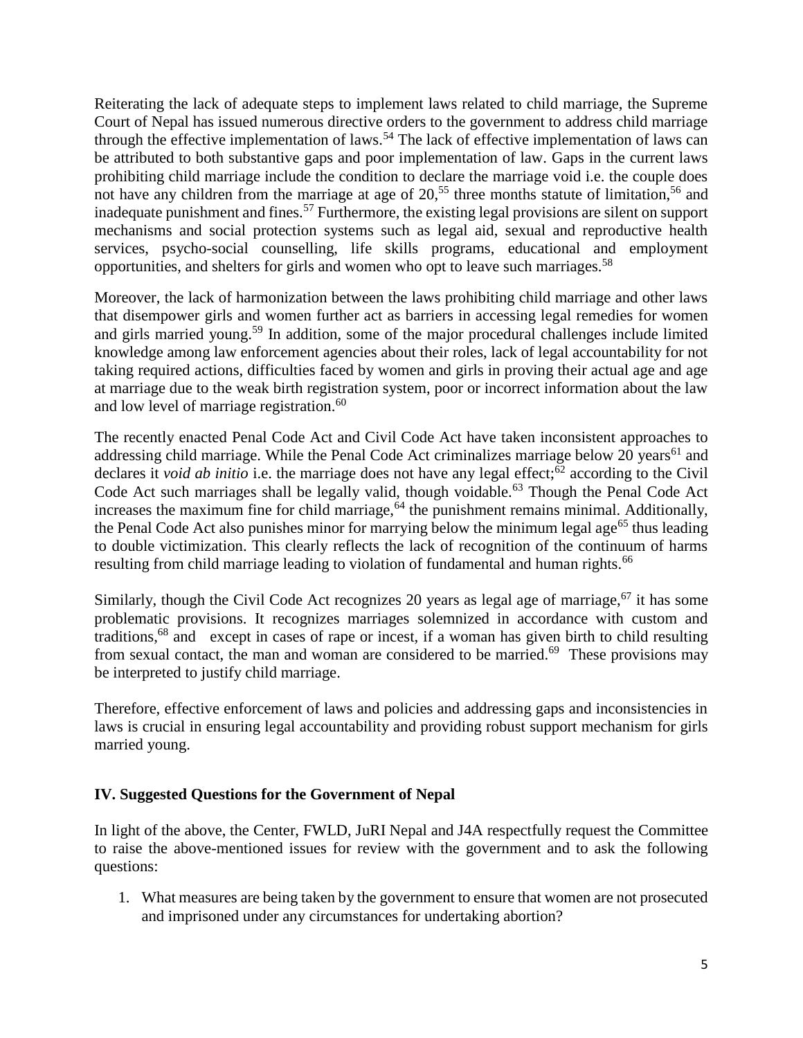Reiterating the lack of adequate steps to implement laws related to child marriage, the Supreme Court of Nepal has issued numerous directive orders to the government to address child marriage through the effective implementation of laws.<sup>54</sup> The lack of effective implementation of laws can be attributed to both substantive gaps and poor implementation of law. Gaps in the current laws prohibiting child marriage include the condition to declare the marriage void i.e. the couple does not have any children from the marriage at age of  $20<sup>55</sup>$ , three months statute of limitation,<sup>56</sup> and inadequate punishment and fines.<sup>57</sup> Furthermore, the existing legal provisions are silent on support mechanisms and social protection systems such as legal aid, sexual and reproductive health services, psycho-social counselling, life skills programs, educational and employment opportunities, and shelters for girls and women who opt to leave such marriages.<sup>58</sup>

Moreover, the lack of harmonization between the laws prohibiting child marriage and other laws that disempower girls and women further act as barriers in accessing legal remedies for women and girls married young.<sup>59</sup> In addition, some of the major procedural challenges include limited knowledge among law enforcement agencies about their roles, lack of legal accountability for not taking required actions, difficulties faced by women and girls in proving their actual age and age at marriage due to the weak birth registration system, poor or incorrect information about the law and low level of marriage registration.<sup>60</sup>

The recently enacted Penal Code Act and Civil Code Act have taken inconsistent approaches to addressing child marriage. While the Penal Code Act criminalizes marriage below 20 years<sup>61</sup> and declares it *void ab initio* i.e. the marriage does not have any legal effect;<sup>62</sup> according to the Civil Code Act such marriages shall be legally valid, though voidable.<sup>63</sup> Though the Penal Code Act increases the maximum fine for child marriage,  $64$  the punishment remains minimal. Additionally, the Penal Code Act also punishes minor for marrying below the minimum legal age<sup>65</sup> thus leading to double victimization. This clearly reflects the lack of recognition of the continuum of harms resulting from child marriage leading to violation of fundamental and human rights.<sup>66</sup>

Similarly, though the Civil Code Act recognizes 20 years as legal age of marriage,  $67$  it has some problematic provisions. It recognizes marriages solemnized in accordance with custom and traditions, <sup>68</sup> and except in cases of rape or incest, if a woman has given birth to child resulting from sexual contact, the man and woman are considered to be married.<sup>69</sup> These provisions may be interpreted to justify child marriage.

Therefore, effective enforcement of laws and policies and addressing gaps and inconsistencies in laws is crucial in ensuring legal accountability and providing robust support mechanism for girls married young.

## **IV. Suggested Questions for the Government of Nepal**

In light of the above, the Center, FWLD, JuRI Nepal and J4A respectfully request the Committee to raise the above-mentioned issues for review with the government and to ask the following questions:

1. What measures are being taken by the government to ensure that women are not prosecuted and imprisoned under any circumstances for undertaking abortion?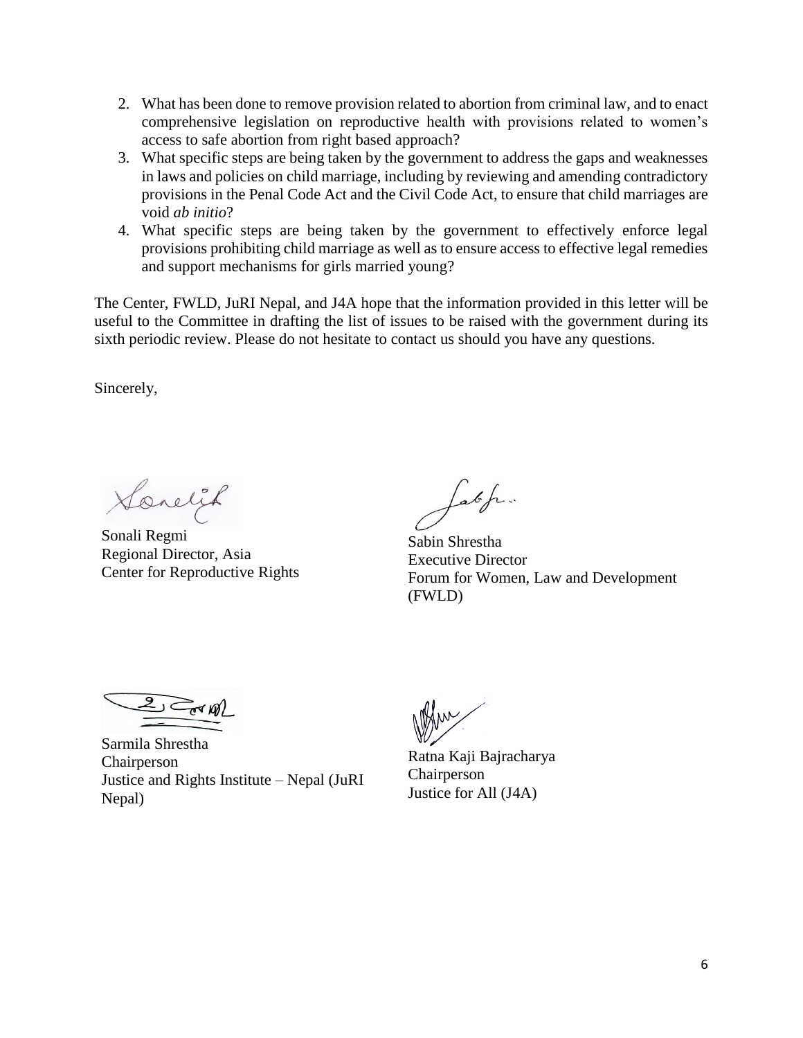- 2. What has been done to remove provision related to abortion from criminal law, and to enact comprehensive legislation on reproductive health with provisions related to women's access to safe abortion from right based approach?
- 3. What specific steps are being taken by the government to address the gaps and weaknesses in laws and policies on child marriage, including by reviewing and amending contradictory provisions in the Penal Code Act and the Civil Code Act, to ensure that child marriages are void *ab initio*?
- 4. What specific steps are being taken by the government to effectively enforce legal provisions prohibiting child marriage as well as to ensure access to effective legal remedies and support mechanisms for girls married young?

The Center, FWLD, JuRI Nepal, and J4A hope that the information provided in this letter will be useful to the Committee in drafting the list of issues to be raised with the government during its sixth periodic review. Please do not hesitate to contact us should you have any questions.

Sincerely,

Sonelik

Sonali Regmi Regional Director, Asia Center for Reproductive Rights

Latefu.

Sabin Shrestha Executive Director Forum for Women, Law and Development (FWLD)

 $2$  and

Sarmila Shrestha Chairperson Justice and Rights Institute – Nepal (JuRI Nepal)

Ratna Kaji Bajracharya Chairperson Justice for All (J4A)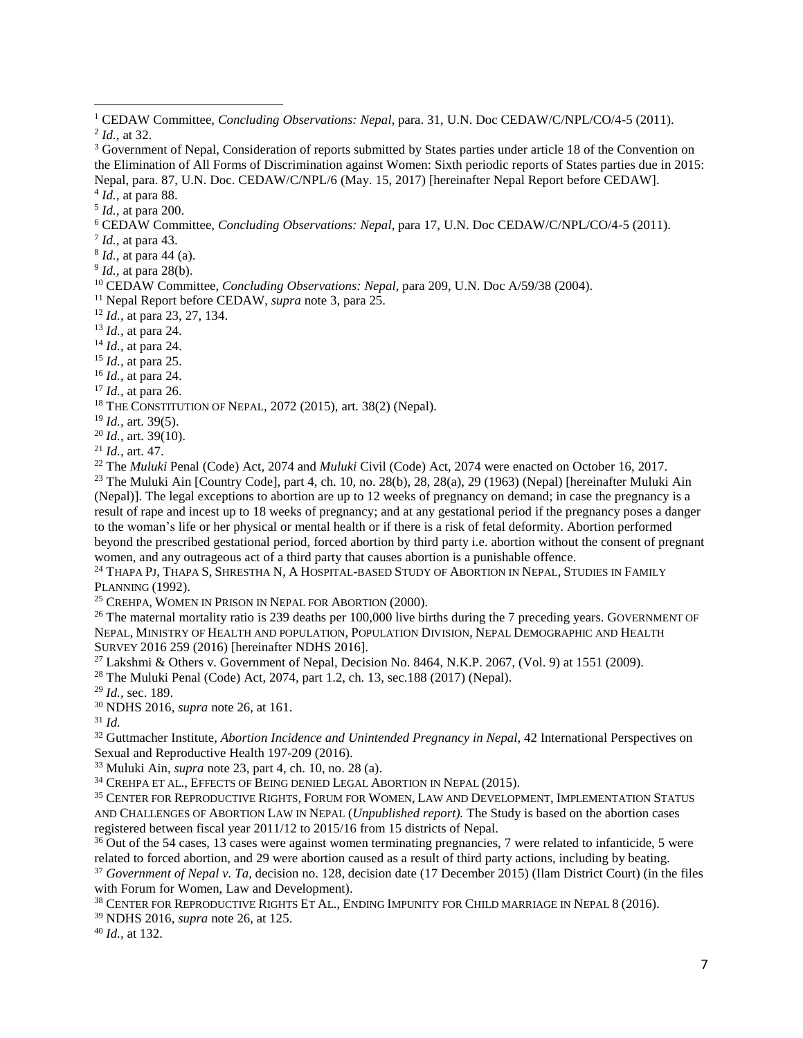4 *Id.,* at para 88.

 $\overline{a}$ 

5 *Id.,* at para 200.

<sup>6</sup> CEDAW Committee, *Concluding Observations: Nepal*, para 17, U.N. Doc CEDAW/C/NPL/CO/4-5 (2011).

7 *Id.,* at para 43.

8 *Id.,* at para 44 (a).

9 *Id.,* at para 28(b).

<sup>10</sup> CEDAW Committee, *Concluding Observations: Nepal*, para 209, U.N. Doc A/59/38 (2004).

<sup>11</sup> Nepal Report before CEDAW, *supra* note 3, para 25.

<sup>12</sup> *Id.,* at para 23, 27, 134.

<sup>13</sup> *Id.,* at para 24.

<sup>14</sup> *Id.,* at para 24.

<sup>15</sup> *Id.,* at para 25.

<sup>16</sup> *Id.,* at para 24.

<sup>17</sup> *Id.,* at para 26.

 $18$  THE CONSTITUTION OF NEPAL, 2072 (2015), art. 38(2) (Nepal).

<sup>19</sup> *Id.,* art. 39(5).

<sup>20</sup> *Id.,* art. 39(10).

<sup>21</sup> *Id.,* art. 47.

<sup>22</sup> The *Muluki* Penal (Code) Act, 2074 and *Muluki* Civil (Code) Act, 2074 were enacted on October 16, 2017. <sup>23</sup> The Muluki Ain [Country Code], part 4, ch. 10, no. 28(b), 28, 28(a), 29 (1963) (Nepal) [hereinafter Muluki Ain (Nepal)]. The legal exceptions to abortion are up to 12 weeks of pregnancy on demand; in case the pregnancy is a result of rape and incest up to 18 weeks of pregnancy; and at any gestational period if the pregnancy poses a danger to the woman's life or her physical or mental health or if there is a risk of fetal deformity. Abortion performed beyond the prescribed gestational period, forced abortion by third party i.e. abortion without the consent of pregnant women, and any outrageous act of a third party that causes abortion is a punishable offence.

<sup>24</sup> THAPA PJ, THAPA S, SHRESTHA N, A HOSPITAL-BASED STUDY OF ABORTION IN NEPAL, STUDIES IN FAMILY PLANNING (1992).

<sup>25</sup> CREHPA, WOMEN IN PRISON IN NEPAL FOR ABORTION (2000).

<sup>26</sup> The maternal mortality ratio is 239 deaths per 100,000 live births during the 7 preceding years. GOVERNMENT OF NEPAL, MINISTRY OF HEALTH AND POPULATION, POPULATION DIVISION, NEPAL DEMOGRAPHIC AND HEALTH SURVEY 2016 259 (2016) [hereinafter NDHS 2016].

<sup>27</sup> Lakshmi & Others v. Government of Nepal, Decision No. 8464, N.K.P. 2067, (Vol. 9) at 1551 (2009).

<sup>28</sup> The Muluki Penal (Code) Act, 2074, part 1.2, ch. 13, sec.188 (2017) (Nepal).

<sup>29</sup> *Id.,* sec. 189.

<sup>30</sup> NDHS 2016, *supra* note 26, at 161.

<sup>31</sup> *Id.*

<sup>32</sup> Guttmacher Institute, *Abortion Incidence and Unintended Pregnancy in Nepal,* 42 International Perspectives on Sexual and Reproductive Health 197-209 (2016).

<sup>33</sup> Muluki Ain, *supra* note 23, part 4, ch. 10, no. 28 (a).

<sup>34</sup> CREHPA ET AL., EFFECTS OF BEING DENIED LEGAL ABORTION IN NEPAL (2015).

<sup>35</sup> CENTER FOR REPRODUCTIVE RIGHTS, FORUM FOR WOMEN, LAW AND DEVELOPMENT, IMPLEMENTATION STATUS AND CHALLENGES OF ABORTION LAW IN NEPAL (*Unpublished report).* The Study is based on the abortion cases registered between fiscal year 2011/12 to 2015/16 from 15 districts of Nepal.

<sup>36</sup> Out of the 54 cases, 13 cases were against women terminating pregnancies, 7 were related to infanticide, 5 were related to forced abortion, and 29 were abortion caused as a result of third party actions, including by beating.

<sup>37</sup> *Government of Nepal v. Ta*, decision no. 128, decision date (17 December 2015) (Ilam District Court) (in the files with Forum for Women, Law and Development).

<sup>38</sup> CENTER FOR REPRODUCTIVE RIGHTS ET AL., ENDING IMPUNITY FOR CHILD MARRIAGE IN NEPAL 8 (2016).

<sup>39</sup> NDHS 2016, *supra* note 26, at 125.

<sup>40</sup> *Id.,* at 132.

<sup>1</sup> CEDAW Committee, *Concluding Observations: Nepal*, para. 31, U.N. Doc CEDAW/C/NPL/CO/4-5 (2011). 2 *Id.,* at 32.

<sup>&</sup>lt;sup>3</sup> Government of Nepal, Consideration of reports submitted by States parties under article 18 of the Convention on the Elimination of All Forms of Discrimination against Women: Sixth periodic reports of States parties due in 2015: Nepal, para. 87, U.N. Doc. CEDAW/C/NPL/6 (May. 15, 2017) [hereinafter Nepal Report before CEDAW].